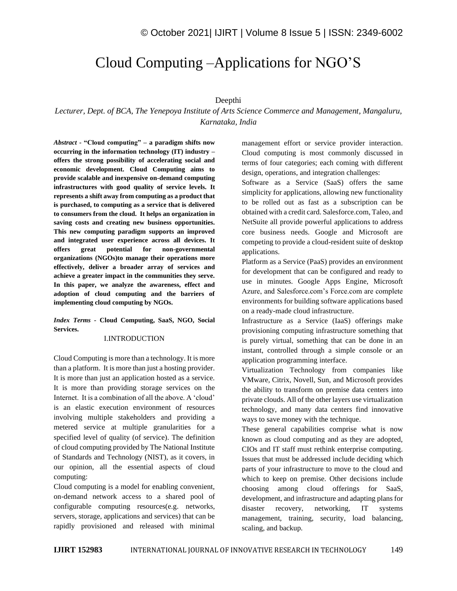# Cloud Computing –Applications for NGO'S

# Deepthi

*Lecturer, Dept. of BCA, The Yenepoya Institute of Arts Science Commerce and Management, Mangaluru, Karnataka, India*

*Abstract -* **"Cloud computing" – a paradigm shifts now occurring in the information technology (IT) industry – offers the strong possibility of accelerating social and economic development. Cloud Computing aims to provide scalable and inexpensive on-demand computing infrastructures with good quality of service levels. It represents a shift away from computing as a product that is purchased, to computing as a service that is delivered to consumers from the cloud. It helps an organization in saving costs and creating new business opportunities. This new computing paradigm supports an improved and integrated user experience across all devices. It offers great potential for non-governmental organizations (NGOs)to manage their operations more effectively, deliver a broader array of services and achieve a greater impact in the communities they serve. In this paper, we analyze the awareness, effect and adoption of cloud computing and the barriers of implementing cloud computing by NGOs.**

*Index Terms -* **Cloud Computing, SaaS, NGO, Social Services.**

### I.INTRODUCTION

Cloud Computing is more than a technology. It is more than a platform. It is more than just a hosting provider. It is more than just an application hosted as a service. It is more than providing storage services on the Internet. It is a combination of all the above. A 'cloud' is an elastic execution environment of resources involving multiple stakeholders and providing a metered service at multiple granularities for a specified level of quality (of service). The definition of cloud computing provided by The National Institute of Standards and Technology (NIST), as it covers, in our opinion, all the essential aspects of cloud computing:

Cloud computing is a model for enabling convenient, on-demand network access to a shared pool of configurable computing resources(e.g. networks, servers, storage, applications and services) that can be rapidly provisioned and released with minimal

management effort or service provider interaction. Cloud computing is most commonly discussed in terms of four categories; each coming with different design, operations, and integration challenges:

Software as a Service (SaaS) offers the same simplicity for applications, allowing new functionality to be rolled out as fast as a subscription can be obtained with a credit card. Salesforce.com, Taleo, and NetSuite all provide powerful applications to address core business needs. Google and Microsoft are competing to provide a cloud-resident suite of desktop applications.

Platform as a Service (PaaS) provides an environment for development that can be configured and ready to use in minutes. Google Apps Engine, Microsoft Azure, and Salesforce.com's Force.com are complete environments for building software applications based on a ready-made cloud infrastructure.

Infrastructure as a Service (IaaS) offerings make provisioning computing infrastructure something that is purely virtual, something that can be done in an instant, controlled through a simple console or an application programming interface.

Virtualization Technology from companies like VMware, Citrix, Novell, Sun, and Microsoft provides the ability to transform on premise data centers into private clouds. All of the other layers use virtualization technology, and many data centers find innovative ways to save money with the technique.

These general capabilities comprise what is now known as cloud computing and as they are adopted, CIOs and IT staff must rethink enterprise computing. Issues that must be addressed include deciding which parts of your infrastructure to move to the cloud and which to keep on premise. Other decisions include choosing among cloud offerings for SaaS, development, and infrastructure and adapting plans for disaster recovery, networking, IT systems management, training, security, load balancing, scaling, and backup.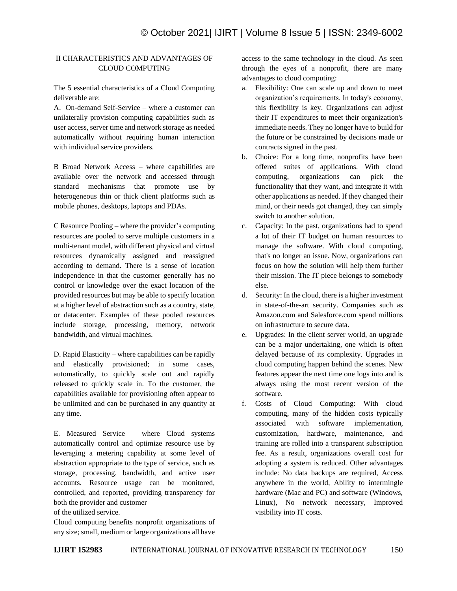# II CHARACTERISTICS AND ADVANTAGES OF CLOUD COMPUTING

The 5 essential characteristics of a Cloud Computing deliverable are:

A. On-demand Self-Service – where a customer can unilaterally provision computing capabilities such as user access, server time and network storage as needed automatically without requiring human interaction with individual service providers.

B Broad Network Access – where capabilities are available over the network and accessed through standard mechanisms that promote use by heterogeneous thin or thick client platforms such as mobile phones, desktops, laptops and PDAs.

C Resource Pooling – where the provider's computing resources are pooled to serve multiple customers in a multi-tenant model, with different physical and virtual resources dynamically assigned and reassigned according to demand. There is a sense of location independence in that the customer generally has no control or knowledge over the exact location of the provided resources but may be able to specify location at a higher level of abstraction such as a country, state, or datacenter. Examples of these pooled resources include storage, processing, memory, network bandwidth, and virtual machines.

D. Rapid Elasticity – where capabilities can be rapidly and elastically provisioned; in some cases, automatically, to quickly scale out and rapidly released to quickly scale in. To the customer, the capabilities available for provisioning often appear to be unlimited and can be purchased in any quantity at any time.

E. Measured Service – where Cloud systems automatically control and optimize resource use by leveraging a metering capability at some level of abstraction appropriate to the type of service, such as storage, processing, bandwidth, and active user accounts. Resource usage can be monitored, controlled, and reported, providing transparency for both the provider and customer

of the utilized service.

Cloud computing benefits nonprofit organizations of any size; small, medium or large organizations all have access to the same technology in the cloud. As seen through the eyes of a nonprofit, there are many advantages to cloud computing:

- a. Flexibility: One can scale up and down to meet organization's requirements. In today's economy, this flexibility is key. Organizations can adjust their IT expenditures to meet their organization's immediate needs. They no longer have to build for the future or be constrained by decisions made or contracts signed in the past.
- b. Choice: For a long time, nonprofits have been offered suites of applications. With cloud computing, organizations can pick the functionality that they want, and integrate it with other applications as needed. If they changed their mind, or their needs got changed, they can simply switch to another solution.
- c. Capacity: In the past, organizations had to spend a lot of their IT budget on human resources to manage the software. With cloud computing, that's no longer an issue. Now, organizations can focus on how the solution will help them further their mission. The IT piece belongs to somebody else.
- d. Security: In the cloud, there is a higher investment in state-of-the-art security. Companies such as Amazon.com and Salesforce.com spend millions on infrastructure to secure data.
- e. Upgrades: In the client server world, an upgrade can be a major undertaking, one which is often delayed because of its complexity. Upgrades in cloud computing happen behind the scenes. New features appear the next time one logs into and is always using the most recent version of the software.
- f. Costs of Cloud Computing: With cloud computing, many of the hidden costs typically associated with software implementation, customization, hardware, maintenance, and training are rolled into a transparent subscription fee. As a result, organizations overall cost for adopting a system is reduced. Other advantages include: No data backups are required, Access anywhere in the world, Ability to intermingle hardware (Mac and PC) and software (Windows, Linux), No network necessary, Improved visibility into IT costs.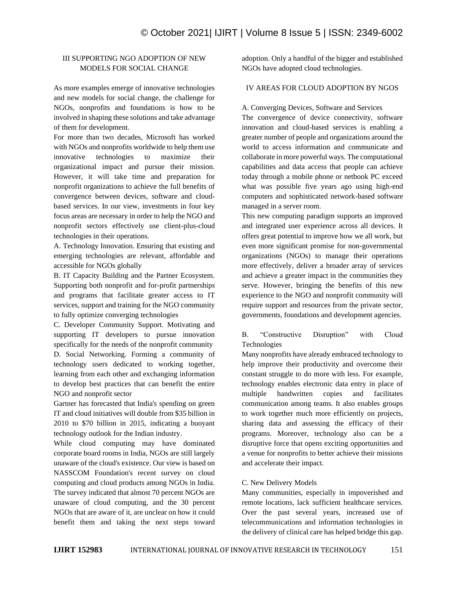# III SUPPORTING NGO ADOPTION OF NEW MODELS FOR SOCIAL CHANGE

As more examples emerge of innovative technologies and new models for social change, the challenge for NGOs, nonprofits and foundations is how to be involved in shaping these solutions and take advantage of them for development.

For more than two decades, Microsoft has worked with NGOs and nonprofits worldwide to help them use innovative technologies to maximize their organizational impact and pursue their mission. However, it will take time and preparation for nonprofit organizations to achieve the full benefits of convergence between devices, software and cloudbased services. In our view, investments in four key focus areas are necessary in order to help the NGO and nonprofit sectors effectively use client-plus-cloud technologies in their operations.

A. Technology Innovation. Ensuring that existing and emerging technologies are relevant, affordable and accessible for NGOs globally

B. IT Capacity Building and the Partner Ecosystem. Supporting both nonprofit and for-profit partnerships and programs that facilitate greater access to IT services, support and training for the NGO community to fully optimize converging technologies

C. Developer Community Support. Motivating and supporting IT developers to pursue innovation specifically for the needs of the nonprofit community D. Social Networking. Forming a community of technology users dedicated to working together, learning from each other and exchanging information to develop best practices that can benefit the entire NGO and nonprofit sector

Gartner has forecasted that India's spending on green IT and cloud initiatives will double from \$35 billion in 2010 to \$70 billion in 2015, indicating a buoyant technology outlook for the Indian industry.

While cloud computing may have dominated corporate board rooms in India, NGOs are still largely unaware of the cloud's existence. Our view is based on NASSCOM Foundation's recent survey on cloud computing and cloud products among NGOs in India. The survey indicated that almost 70 percent NGOs are unaware of cloud computing, and the 30 percent NGOs that are aware of it, are unclear on how it could benefit them and taking the next steps toward adoption. Only a handful of the bigger and established NGOs have adopted cloud technologies.

# IV AREAS FOR CLOUD ADOPTION BY NGOS

A. Converging Devices, Software and Services

The convergence of device connectivity, software innovation and cloud-based services is enabling a greater number of people and organizations around the world to access information and communicate and collaborate in more powerful ways. The computational capabilities and data access that people can achieve today through a mobile phone or netbook PC exceed what was possible five years ago using high-end computers and sophisticated network-based software managed in a server room.

This new computing paradigm supports an improved and integrated user experience across all devices. It offers great potential to improve how we all work, but even more significant promise for non-governmental organizations (NGOs) to manage their operations more effectively, deliver a broader array of services and achieve a greater impact in the communities they serve. However, bringing the benefits of this new experience to the NGO and nonprofit community will require support and resources from the private sector, governments, foundations and development agencies.

# B. "Constructive Disruption" with Cloud Technologies

Many nonprofits have already embraced technology to help improve their productivity and overcome their constant struggle to do more with less. For example, technology enables electronic data entry in place of multiple handwritten copies and facilitates communication among teams. It also enables groups to work together much more efficiently on projects, sharing data and assessing the efficacy of their programs. Moreover, technology also can be a disruptive force that opens exciting opportunities and a venue for nonprofits to better achieve their missions and accelerate their impact.

## C. New Delivery Models

Many communities, especially in impoverished and remote locations, lack sufficient healthcare services. Over the past several years, increased use of telecommunications and information technologies in the delivery of clinical care has helped bridge this gap.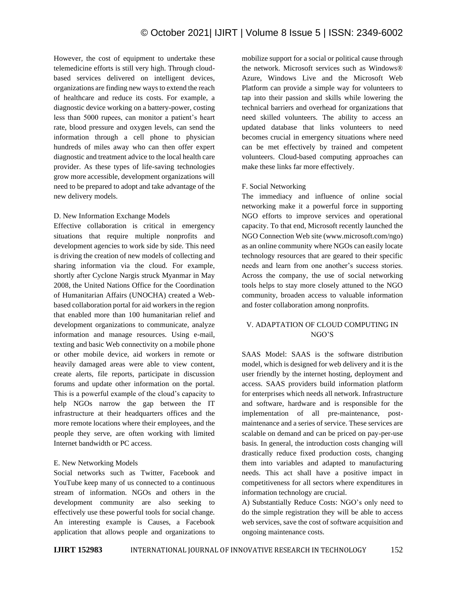However, the cost of equipment to undertake these telemedicine efforts is still very high. Through cloudbased services delivered on intelligent devices, organizations are finding new ways to extend the reach of healthcare and reduce its costs. For example, a diagnostic device working on a battery-power, costing less than 5000 rupees, can monitor a patient's heart rate, blood pressure and oxygen levels, can send the information through a cell phone to physician hundreds of miles away who can then offer expert diagnostic and treatment advice to the local health care provider. As these types of life-saving technologies grow more accessible, development organizations will need to be prepared to adopt and take advantage of the new delivery models.

## D. New Information Exchange Models

Effective collaboration is critical in emergency situations that require multiple nonprofits and development agencies to work side by side. This need is driving the creation of new models of collecting and sharing information via the cloud. For example, shortly after Cyclone Nargis struck Myanmar in May 2008, the United Nations Office for the Coordination of Humanitarian Affairs (UNOCHA) created a Webbased collaboration portal for aid workers in the region that enabled more than 100 humanitarian relief and development organizations to communicate, analyze information and manage resources. Using e-mail, texting and basic Web connectivity on a mobile phone or other mobile device, aid workers in remote or heavily damaged areas were able to view content, create alerts, file reports, participate in discussion forums and update other information on the portal. This is a powerful example of the cloud's capacity to help NGOs narrow the gap between the IT infrastructure at their headquarters offices and the more remote locations where their employees, and the people they serve, are often working with limited Internet bandwidth or PC access.

# E. New Networking Models

Social networks such as Twitter, Facebook and YouTube keep many of us connected to a continuous stream of information. NGOs and others in the development community are also seeking to effectively use these powerful tools for social change. An interesting example is Causes, a Facebook application that allows people and organizations to mobilize support for a social or political cause through the network. Microsoft services such as Windows® Azure, Windows Live and the Microsoft Web Platform can provide a simple way for volunteers to tap into their passion and skills while lowering the technical barriers and overhead for organizations that need skilled volunteers. The ability to access an updated database that links volunteers to need becomes crucial in emergency situations where need can be met effectively by trained and competent volunteers. Cloud-based computing approaches can make these links far more effectively.

# F. Social Networking

The immediacy and influence of online social networking make it a powerful force in supporting NGO efforts to improve services and operational capacity. To that end, Microsoft recently launched the NGO Connection Web site (www.microsoft.com/ngo) as an online community where NGOs can easily locate technology resources that are geared to their specific needs and learn from one another's success stories. Across the company, the use of social networking tools helps to stay more closely attuned to the NGO community, broaden access to valuable information and foster collaboration among nonprofits.

# V. ADAPTATION OF CLOUD COMPUTING IN NGO'S

SAAS Model: SAAS is the software distribution model, which is designed for web delivery and it is the user friendly by the internet hosting, deployment and access. SAAS providers build information platform for enterprises which needs all network. Infrastructure and software, hardware and is responsible for the implementation of all pre-maintenance, postmaintenance and a series of service. These services are scalable on demand and can be priced on pay-per-use basis. In general, the introduction costs changing will drastically reduce fixed production costs, changing them into variables and adapted to manufacturing needs. This act shall have a positive impact in competitiveness for all sectors where expenditures in information technology are crucial.

A) Substantially Reduce Costs: NGO's only need to do the simple registration they will be able to access web services, save the cost of software acquisition and ongoing maintenance costs.